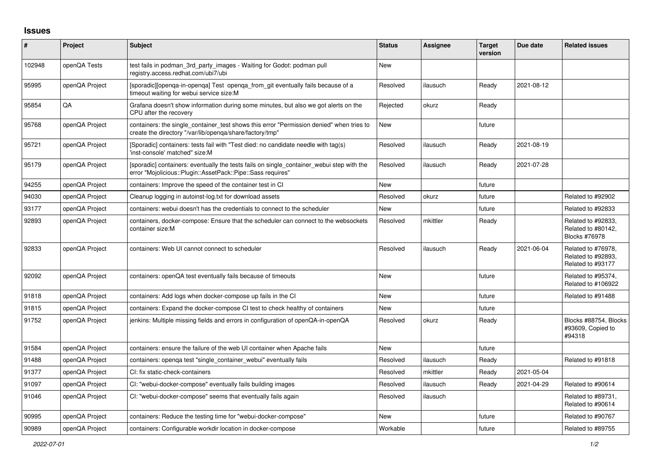## **Issues**

| #      | Project        | <b>Subject</b>                                                                                                                                           | <b>Status</b> | Assignee | <b>Target</b><br>version | Due date   | <b>Related issues</b>                                         |
|--------|----------------|----------------------------------------------------------------------------------------------------------------------------------------------------------|---------------|----------|--------------------------|------------|---------------------------------------------------------------|
| 102948 | openQA Tests   | test fails in podman 3rd party images - Waiting for Godot: podman pull<br>registry.access.redhat.com/ubi7/ubi                                            | <b>New</b>    |          |                          |            |                                                               |
| 95995  | openQA Project | [sporadic][openga-in-openga] Test openga from git eventually fails because of a<br>timeout waiting for webui service size:M                              | Resolved      | ilausuch | Ready                    | 2021-08-12 |                                                               |
| 95854  | QA             | Grafana doesn't show information during some minutes, but also we got alerts on the<br>CPU after the recovery                                            | Rejected      | okurz    | Ready                    |            |                                                               |
| 95768  | openQA Project | containers: the single container test shows this error "Permission denied" when tries to<br>create the directory "/var/lib/openqa/share/factory/tmp"     | New           |          | future                   |            |                                                               |
| 95721  | openQA Project | (Sporadic) containers: tests fail with "Test died: no candidate needle with tag(s)<br>'inst-console' matched" size:M                                     | Resolved      | ilausuch | Ready                    | 2021-08-19 |                                                               |
| 95179  | openQA Project | [sporadic] containers: eventually the tests fails on single_container_webui step with the<br>error "Mojolicious::Plugin::AssetPack::Pipe::Sass requires" | Resolved      | ilausuch | Ready                    | 2021-07-28 |                                                               |
| 94255  | openQA Project | containers: Improve the speed of the container test in CI                                                                                                | <b>New</b>    |          | future                   |            |                                                               |
| 94030  | openQA Project | Cleanup logging in autoinst-log.txt for download assets                                                                                                  | Resolved      | okurz    | future                   |            | Related to #92902                                             |
| 93177  | openQA Project | containers: webui doesn't has the credentials to connect to the scheduler                                                                                | New           |          | future                   |            | Related to #92833                                             |
| 92893  | openQA Project | containers, docker-compose: Ensure that the scheduler can connect to the websockets<br>container size:M                                                  | Resolved      | mkittler | Ready                    |            | Related to #92833,<br>Related to #80142,<br>Blocks #76978     |
| 92833  | openQA Project | containers: Web UI cannot connect to scheduler                                                                                                           | Resolved      | ilausuch | Ready                    | 2021-06-04 | Related to #76978.<br>Related to #92893,<br>Related to #93177 |
| 92092  | openQA Project | containers: openQA test eventually fails because of timeouts                                                                                             | <b>New</b>    |          | future                   |            | Related to #95374,<br>Related to #106922                      |
| 91818  | openQA Project | containers: Add logs when docker-compose up fails in the CI                                                                                              | New           |          | future                   |            | Related to #91488                                             |
| 91815  | openQA Project | containers: Expand the docker-compose CI test to check healthy of containers                                                                             | <b>New</b>    |          | future                   |            |                                                               |
| 91752  | openQA Project | jenkins: Multiple missing fields and errors in configuration of openQA-in-openQA                                                                         | Resolved      | okurz    | Ready                    |            | Blocks #88754, Blocks<br>#93609, Copied to<br>#94318          |
| 91584  | openQA Project | containers: ensure the failure of the web UI container when Apache fails                                                                                 | <b>New</b>    |          | future                   |            |                                                               |
| 91488  | openQA Project | containers: openga test "single container webui" eventually fails                                                                                        | Resolved      | ilausuch | Ready                    |            | Related to #91818                                             |
| 91377  | openQA Project | CI: fix static-check-containers                                                                                                                          | Resolved      | mkittler | Ready                    | 2021-05-04 |                                                               |
| 91097  | openQA Project | CI: "webui-docker-compose" eventually fails building images                                                                                              | Resolved      | ilausuch | Ready                    | 2021-04-29 | Related to #90614                                             |
| 91046  | openQA Project | CI: "webui-docker-compose" seems that eventually fails again                                                                                             | Resolved      | ilausuch |                          |            | Related to #89731,<br>Related to #90614                       |
| 90995  | openQA Project | containers: Reduce the testing time for "webui-docker-compose"                                                                                           | <b>New</b>    |          | future                   |            | Related to #90767                                             |
| 90989  | openQA Project | containers: Configurable workdir location in docker-compose                                                                                              | Workable      |          | future                   |            | Related to #89755                                             |